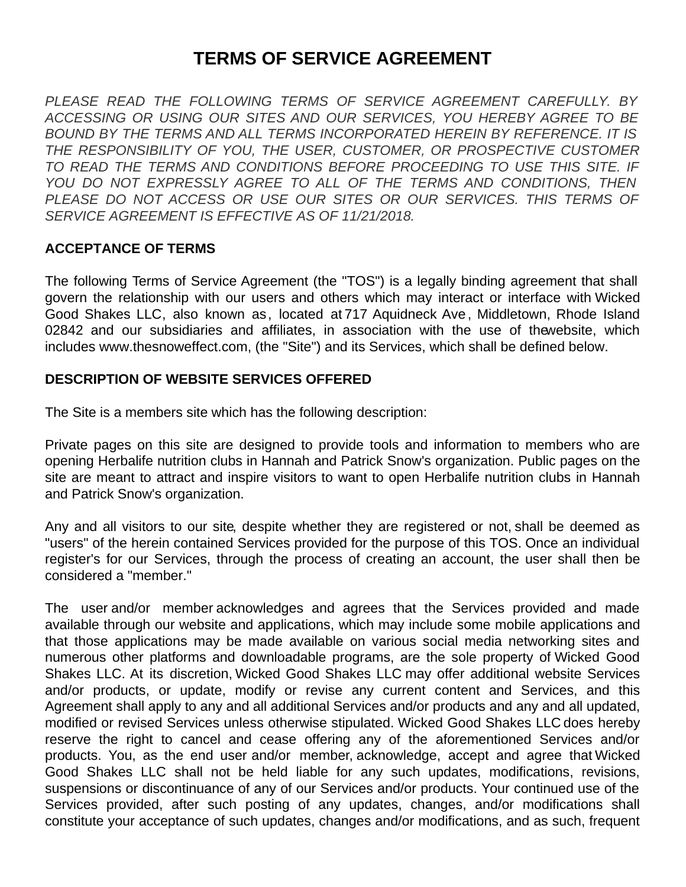# **TERMS OF SERVICE AGREEMENT**

*PLEASE READ THE FOLLOWING TERMS OF SERVICE AGREEMENT CAREFULLY. BY ACCESSING OR USING OUR SITES AND OUR SERVICES, YOU HEREBY AGREE TO BE BOUND BY THE TERMS AND ALL TERMS INCORPORATED HEREIN BY REFERENCE. IT IS THE RESPONSIBILITY OF YOU, THE USER, CUSTOMER, OR PROSPECTIVE CUSTOMER TO READ THE TERMS AND CONDITIONS BEFORE PROCEEDING TO USE THIS SITE. IF YOU DO NOT EXPRESSLY AGREE TO ALL OF THE TERMS AND CONDITIONS, THEN PLEASE DO NOT ACCESS OR USE OUR SITES OR OUR SERVICES. THIS TERMS OF SERVICE AGREEMENT IS EFFECTIVE AS OF 11/21/2018.*

#### **ACCEPTANCE OF TERMS**

The following Terms of Service Agreement (the "TOS") is a legally binding agreement that shall govern the relationship with our users and others which may interact or interface with Wicked Good Shakes LLC, also known as, located at 717 Aquidneck Ave , Middletown, Rhode Island 02842 and our subsidiaries and affiliates, in association with the use of thewebsite, which includes www.thesnoweffect.com, (the "Site") and its Services, which shall be defined below.

#### **DESCRIPTION OF WEBSITE SERVICES OFFERED**

The Site is a members site which has the following description:

Private pages on this site are designed to provide tools and information to members who are opening Herbalife nutrition clubs in Hannah and Patrick Snow's organization. Public pages on the site are meant to attract and inspire visitors to want to open Herbalife nutrition clubs in Hannah and Patrick Snow's organization.

Any and all visitors to our site, despite whether they are registered or not, shall be deemed as "users" of the herein contained Services provided for the purpose of this TOS. Once an individual register's for our Services, through the process of creating an account, the user shall then be considered a "member."

The user and/or member acknowledges and agrees that the Services provided and made available through our website and applications, which may include some mobile applications and that those applications may be made available on various social media networking sites and numerous other platforms and downloadable programs, are the sole property of Wicked Good Shakes LLC. At its discretion, Wicked Good Shakes LLC may offer additional website Services and/or products, or update, modify or revise any current content and Services, and this Agreement shall apply to any and all additional Services and/or products and any and all updated, modified or revised Services unless otherwise stipulated. Wicked Good Shakes LLC does hereby reserve the right to cancel and cease offering any of the aforementioned Services and/or products. You, as the end user and/or member, acknowledge, accept and agree that Wicked Good Shakes LLC shall not be held liable for any such updates, modifications, revisions, suspensions or discontinuance of any of our Services and/or products. Your continued use of the Services provided, after such posting of any updates, changes, and/or modifications shall constitute your acceptance of such updates, changes and/or modifications, and as such, frequent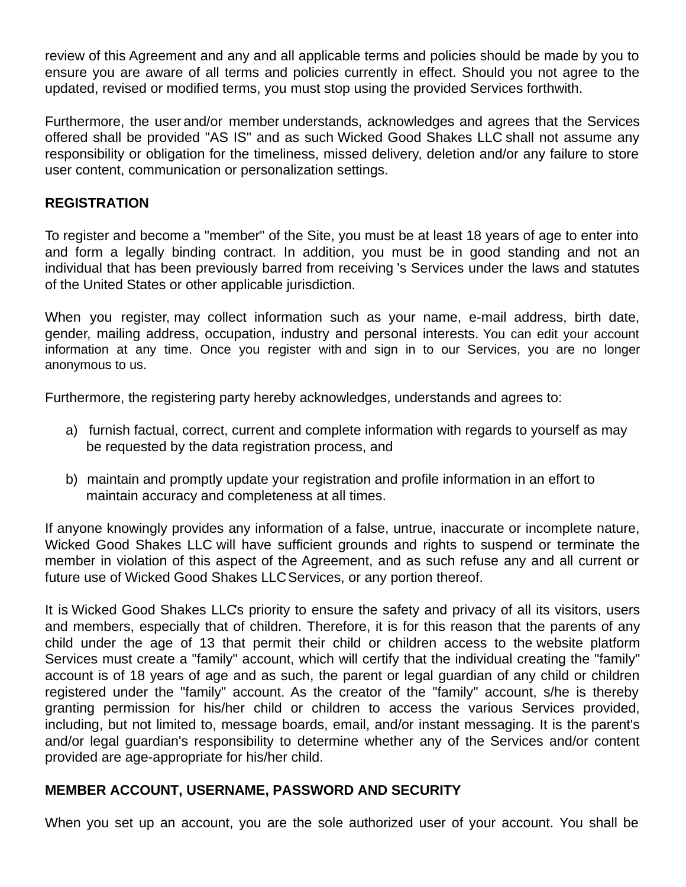review of this Agreement and any and all applicable terms and policies should be made by you to ensure you are aware of all terms and policies currently in effect. Should you not agree to the updated, revised or modified terms, you must stop using the provided Services forthwith.

Furthermore, the user and/or member understands, acknowledges and agrees that the Services offered shall be provided "AS IS" and as such Wicked Good Shakes LLC shall not assume any responsibility or obligation for the timeliness, missed delivery, deletion and/or any failure to store user content, communication or personalization settings.

#### **REGISTRATION**

To register and become a "member" of the Site, you must be at least 18 years of age to enter into and form a legally binding contract. In addition, you must be in good standing and not an individual that has been previously barred from receiving 's Services under the laws and statutes of the United States or other applicable jurisdiction.

When you register, may collect information such as your name, e-mail address, birth date, gender, mailing address, occupation, industry and personal interests. You can edit your account information at any time. Once you register with and sign in to our Services, you are no longer anonymous to us.

Furthermore, the registering party hereby acknowledges, understands and agrees to:

- a) furnish factual, correct, current and complete information with regards to yourself as may be requested by the data registration process, and
- b) maintain and promptly update your registration and profile information in an effort to maintain accuracy and completeness at all times.

If anyone knowingly provides any information of a false, untrue, inaccurate or incomplete nature, Wicked Good Shakes LLC will have sufficient grounds and rights to suspend or terminate the member in violation of this aspect of the Agreement, and as such refuse any and all current or future use of Wicked Good Shakes LLCServices, or any portion thereof.

It is Wicked Good Shakes LLC's priority to ensure the safety and privacy of all its visitors, users and members, especially that of children. Therefore, it is for this reason that the parents of any child under the age of 13 that permit their child or children access to the website platform Services must create a "family" account, which will certify that the individual creating the "family" account is of 18 years of age and as such, the parent or legal guardian of any child or children registered under the "family" account. As the creator of the "family" account, s/he is thereby granting permission for his/her child or children to access the various Services provided, including, but not limited to, message boards, email, and/or instant messaging. It is the parent's and/or legal guardian's responsibility to determine whether any of the Services and/or content provided are age-appropriate for his/her child.

## **MEMBER ACCOUNT, USERNAME, PASSWORD AND SECURITY**

When you set up an account, you are the sole authorized user of your account. You shall be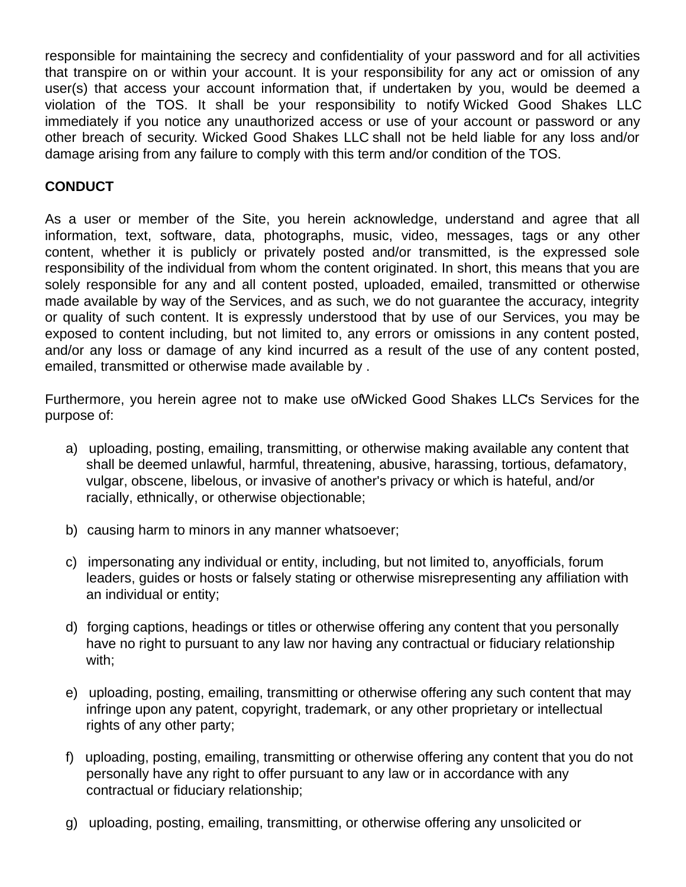responsible for maintaining the secrecy and confidentiality of your password and for all activities that transpire on or within your account. It is your responsibility for any act or omission of any user(s) that access your account information that, if undertaken by you, would be deemed a violation of the TOS. It shall be your responsibility to notify Wicked Good Shakes LLC immediately if you notice any unauthorized access or use of your account or password or any other breach of security. Wicked Good Shakes LLC shall not be held liable for any loss and/or damage arising from any failure to comply with this term and/or condition of the TOS.

## **CONDUCT**

As a user or member of the Site, you herein acknowledge, understand and agree that all information, text, software, data, photographs, music, video, messages, tags or any other content, whether it is publicly or privately posted and/or transmitted, is the expressed sole responsibility of the individual from whom the content originated. In short, this means that you are solely responsible for any and all content posted, uploaded, emailed, transmitted or otherwise made available by way of the Services, and as such, we do not guarantee the accuracy, integrity or quality of such content. It is expressly understood that by use of our Services, you may be exposed to content including, but not limited to, any errors or omissions in any content posted, and/or any loss or damage of any kind incurred as a result of the use of any content posted, emailed, transmitted or otherwise made available by .

Furthermore, you herein agree not to make use ofWicked Good Shakes LLC's Services for the purpose of:

- a) uploading, posting, emailing, transmitting, or otherwise making available any content that shall be deemed unlawful, harmful, threatening, abusive, harassing, tortious, defamatory, vulgar, obscene, libelous, or invasive of another's privacy or which is hateful, and/or racially, ethnically, or otherwise objectionable;
- b) causing harm to minors in any manner whatsoever;
- c) impersonating any individual or entity, including, but not limited to, anyofficials, forum leaders, guides or hosts or falsely stating or otherwise misrepresenting any affiliation with an individual or entity;
- d) forging captions, headings or titles or otherwise offering any content that you personally have no right to pursuant to any law nor having any contractual or fiduciary relationship with;
- e) uploading, posting, emailing, transmitting or otherwise offering any such content that may infringe upon any patent, copyright, trademark, or any other proprietary or intellectual rights of any other party;
- f) uploading, posting, emailing, transmitting or otherwise offering any content that you do not personally have any right to offer pursuant to any law or in accordance with any contractual or fiduciary relationship;
- g) uploading, posting, emailing, transmitting, or otherwise offering any unsolicited or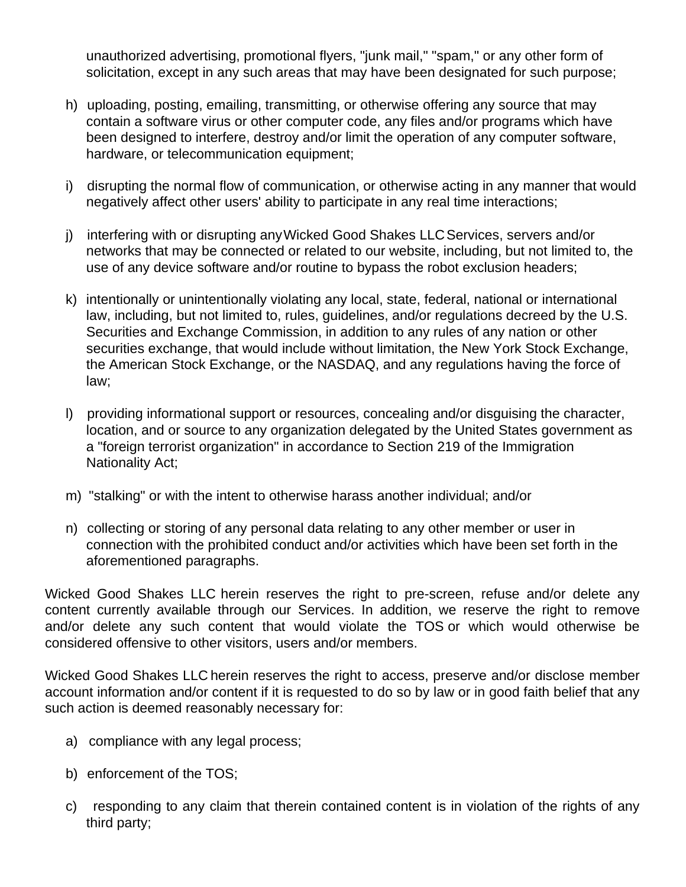unauthorized advertising, promotional flyers, "junk mail," "spam," or any other form of solicitation, except in any such areas that may have been designated for such purpose;

- h) uploading, posting, emailing, transmitting, or otherwise offering any source that may contain a software virus or other computer code, any files and/or programs which have been designed to interfere, destroy and/or limit the operation of any computer software, hardware, or telecommunication equipment;
- i) disrupting the normal flow of communication, or otherwise acting in any manner that would negatively affect other users' ability to participate in any real time interactions;
- j) interfering with or disrupting anyWicked Good Shakes LLCServices, servers and/or networks that may be connected or related to our website, including, but not limited to, the use of any device software and/or routine to bypass the robot exclusion headers;
- k) intentionally or unintentionally violating any local, state, federal, national or international law, including, but not limited to, rules, guidelines, and/or regulations decreed by the U.S. Securities and Exchange Commission, in addition to any rules of any nation or other securities exchange, that would include without limitation, the New York Stock Exchange, the American Stock Exchange, or the NASDAQ, and any regulations having the force of law;
- l) providing informational support or resources, concealing and/or disguising the character, location, and or source to any organization delegated by the United States government as a "foreign terrorist organization" in accordance to Section 219 of the Immigration Nationality Act;
- m) "stalking" or with the intent to otherwise harass another individual; and/or
- n) collecting or storing of any personal data relating to any other member or user in connection with the prohibited conduct and/or activities which have been set forth in the aforementioned paragraphs.

Wicked Good Shakes LLC herein reserves the right to pre-screen, refuse and/or delete any content currently available through our Services. In addition, we reserve the right to remove and/or delete any such content that would violate the TOS or which would otherwise be considered offensive to other visitors, users and/or members.

Wicked Good Shakes LLC herein reserves the right to access, preserve and/or disclose member account information and/or content if it is requested to do so by law or in good faith belief that any such action is deemed reasonably necessary for:

- a) compliance with any legal process;
- b) enforcement of the TOS;
- c) responding to any claim that therein contained content is in violation of the rights of any third party;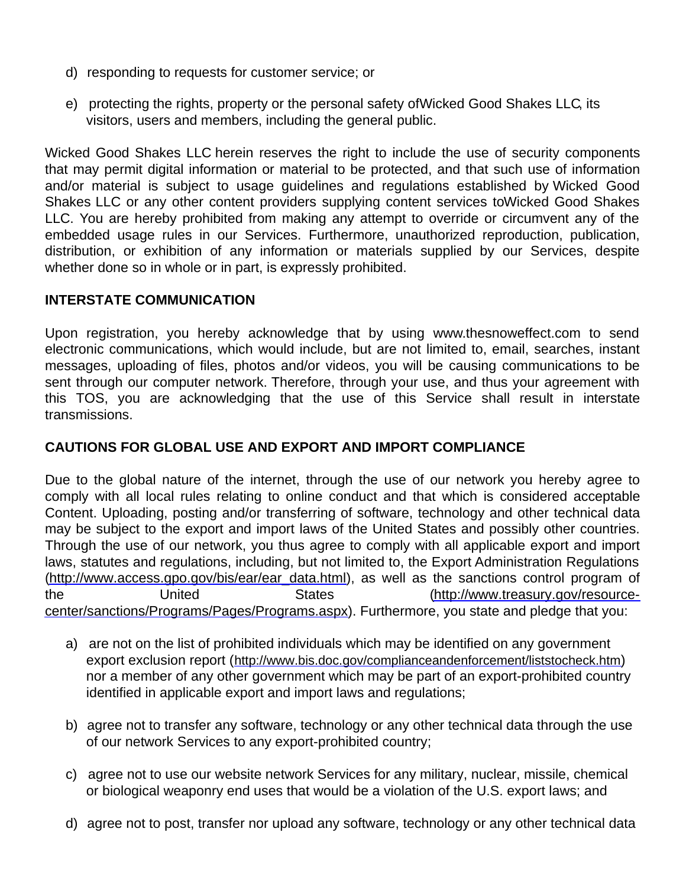- d) responding to requests for customer service; or
- e) protecting the rights, property or the personal safety ofWicked Good Shakes LLC, its visitors, users and members, including the general public.

Wicked Good Shakes LLC herein reserves the right to include the use of security components that may permit digital information or material to be protected, and that such use of information and/or material is subject to usage guidelines and regulations established by Wicked Good Shakes LLC or any other content providers supplying content services toWicked Good Shakes LLC. You are hereby prohibited from making any attempt to override or circumvent any of the embedded usage rules in our Services. Furthermore, unauthorized reproduction, publication, distribution, or exhibition of any information or materials supplied by our Services, despite whether done so in whole or in part, is expressly prohibited.

#### **INTERSTATE COMMUNICATION**

Upon registration, you hereby acknowledge that by using www.thesnoweffect.com to send electronic communications, which would include, but are not limited to, email, searches, instant messages, uploading of files, photos and/or videos, you will be causing communications to be sent through our computer network. Therefore, through your use, and thus your agreement with this TOS, you are acknowledging that the use of this Service shall result in interstate transmissions.

## **CAUTIONS FOR GLOBAL USE AND EXPORT AND IMPORT COMPLIANCE**

Due to the global nature of the internet, through the use of our network you hereby agree to comply with all local rules relating to online conduct and that which is considered acceptable Content. Uploading, posting and/or transferring of software, technology and other technical data may be subject to the export and import laws of the United States and possibly other countries. Through the use of our network, you thus agree to comply with all applicable export and import laws, statutes and regulations, including, but not limited to, the Export Administration Regulations [\(http://www.access.gpo.gov/bis/ear/ear\\_data.html](http://www.access.gpo.gov/bis/ear/ear_data.html)), as well as the sanctions control program of the United States (http://www.treasury.gov/resource[center/sanctions/Programs/Pages/Programs.aspx\).](http://www.treasury.gov/resource-center/sanctions/Programs/Pages/Programs.aspx) Furthermore, you state and pledge that you:

- a) are not on the list of prohibited individuals which may be identified on any government export exclusion report (<http://www.bis.doc.gov/complianceandenforcement/liststocheck.htm>) nor a member of any other government which may be part of an export-prohibited country identified in applicable export and import laws and regulations;
- b) agree not to transfer any software, technology or any other technical data through the use of our network Services to any export-prohibited country;
- c) agree not to use our website network Services for any military, nuclear, missile, chemical or biological weaponry end uses that would be a violation of the U.S. export laws; and
- d) agree not to post, transfer nor upload any software, technology or any other technical data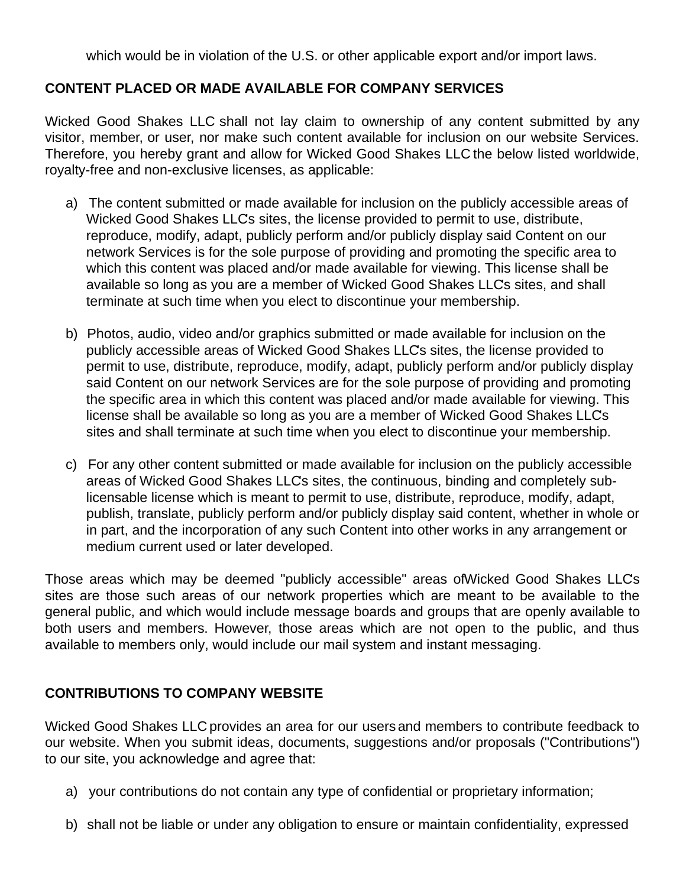which would be in violation of the U.S. or other applicable export and/or import laws.

## **CONTENT PLACED OR MADE AVAILABLE FOR COMPANY SERVICES**

Wicked Good Shakes LLC shall not lay claim to ownership of any content submitted by any visitor, member, or user, nor make such content available for inclusion on our website Services. Therefore, you hereby grant and allow for Wicked Good Shakes LLC the below listed worldwide, royalty-free and non-exclusive licenses, as applicable:

- a) The content submitted or made available for inclusion on the publicly accessible areas of Wicked Good Shakes LLCs sites, the license provided to permit to use, distribute, reproduce, modify, adapt, publicly perform and/or publicly display said Content on our network Services is for the sole purpose of providing and promoting the specific area to which this content was placed and/or made available for viewing. This license shall be available so long as you are a member of Wicked Good Shakes LLCs sites, and shall terminate at such time when you elect to discontinue your membership.
- b) Photos, audio, video and/or graphics submitted or made available for inclusion on the publicly accessible areas of Wicked Good Shakes LLC's sites, the license provided to permit to use, distribute, reproduce, modify, adapt, publicly perform and/or publicly display said Content on our network Services are for the sole purpose of providing and promoting the specific area in which this content was placed and/or made available for viewing. This license shall be available so long as you are a member of Wicked Good Shakes LLC's sites and shall terminate at such time when you elect to discontinue your membership.
- c) For any other content submitted or made available for inclusion on the publicly accessible areas of Wicked Good Shakes LLC's sites, the continuous, binding and completely sublicensable license which is meant to permit to use, distribute, reproduce, modify, adapt, publish, translate, publicly perform and/or publicly display said content, whether in whole or in part, and the incorporation of any such Content into other works in any arrangement or medium current used or later developed.

Those areas which may be deemed "publicly accessible" areas ofWicked Good Shakes LLC's sites are those such areas of our network properties which are meant to be available to the general public, and which would include message boards and groups that are openly available to both users and members. However, those areas which are not open to the public, and thus available to members only, would include our mail system and instant messaging.

## **CONTRIBUTIONS TO COMPANY WEBSITE**

Wicked Good Shakes LLC provides an area for our users and members to contribute feedback to our website. When you submit ideas, documents, suggestions and/or proposals ("Contributions") to our site, you acknowledge and agree that:

- a) your contributions do not contain any type of confidential or proprietary information;
- b) shall not be liable or under any obligation to ensure or maintain confidentiality, expressed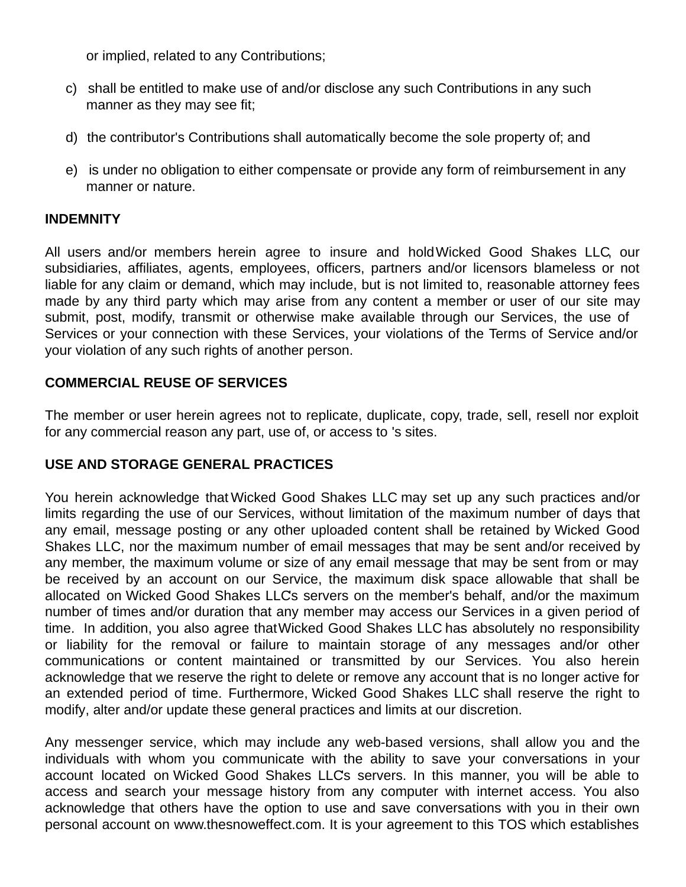or implied, related to any Contributions;

- c) shall be entitled to make use of and/or disclose any such Contributions in any such manner as they may see fit;
- d) the contributor's Contributions shall automatically become the sole property of; and
- e) is under no obligation to either compensate or provide any form of reimbursement in any manner or nature.

#### **INDEMNITY**

All users and/or members herein agree to insure and holdWicked Good Shakes LLC, our subsidiaries, affiliates, agents, employees, officers, partners and/or licensors blameless or not liable for any claim or demand, which may include, but is not limited to, reasonable attorney fees made by any third party which may arise from any content a member or user of our site may submit, post, modify, transmit or otherwise make available through our Services, the use of Services or your connection with these Services, your violations of the Terms of Service and/or your violation of any such rights of another person.

## **COMMERCIAL REUSE OF SERVICES**

The member or user herein agrees not to replicate, duplicate, copy, trade, sell, resell nor exploit for any commercial reason any part, use of, or access to 's sites.

# **USE AND STORAGE GENERAL PRACTICES**

You herein acknowledge that Wicked Good Shakes LLC may set up any such practices and/or limits regarding the use of our Services, without limitation of the maximum number of days that any email, message posting or any other uploaded content shall be retained by Wicked Good Shakes LLC, nor the maximum number of email messages that may be sent and/or received by any member, the maximum volume or size of any email message that may be sent from or may be received by an account on our Service, the maximum disk space allowable that shall be allocated on Wicked Good Shakes LLCs servers on the member's behalf, and/or the maximum number of times and/or duration that any member may access our Services in a given period of time. In addition, you also agree thatWicked Good Shakes LLC has absolutely no responsibility or liability for the removal or failure to maintain storage of any messages and/or other communications or content maintained or transmitted by our Services. You also herein acknowledge that we reserve the right to delete or remove any account that is no longer active for an extended period of time. Furthermore, Wicked Good Shakes LLC shall reserve the right to modify, alter and/or update these general practices and limits at our discretion.

Any messenger service, which may include any web-based versions, shall allow you and the individuals with whom you communicate with the ability to save your conversations in your account located on Wicked Good Shakes LLC's servers. In this manner, you will be able to access and search your message history from any computer with internet access. You also acknowledge that others have the option to use and save conversations with you in their own personal account on www.thesnoweffect.com. It is your agreement to this TOS which establishes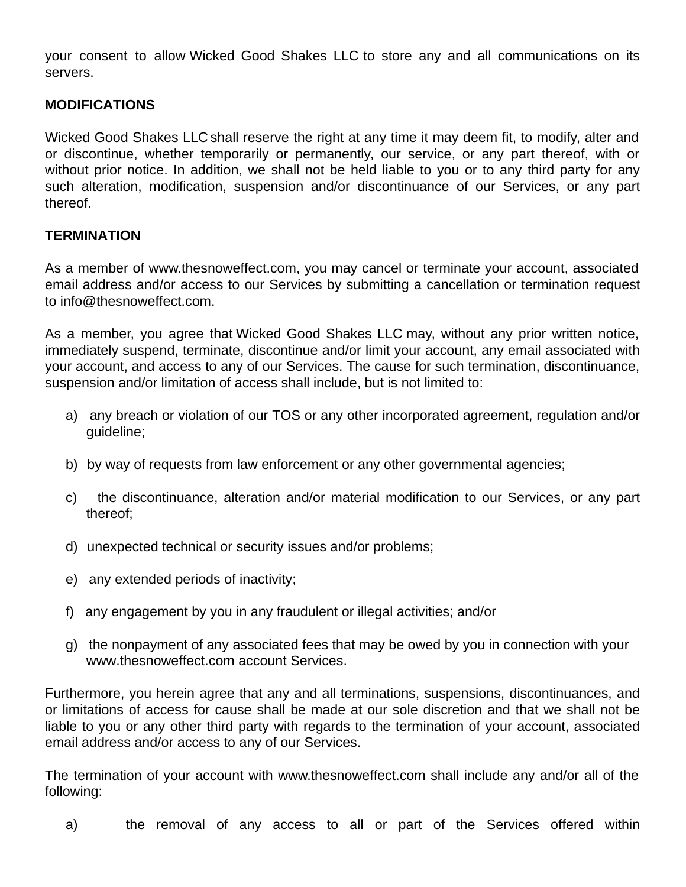your consent to allow Wicked Good Shakes LLC to store any and all communications on its servers.

#### **MODIFICATIONS**

Wicked Good Shakes LLC shall reserve the right at any time it may deem fit, to modify, alter and or discontinue, whether temporarily or permanently, our service, or any part thereof, with or without prior notice. In addition, we shall not be held liable to you or to any third party for any such alteration, modification, suspension and/or discontinuance of our Services, or any part thereof.

#### **TERMINATION**

As a member of www.thesnoweffect.com, you may cancel or terminate your account, associated email address and/or access to our Services by submitting a cancellation or termination request to info@thesnoweffect.com.

As a member, you agree that Wicked Good Shakes LLC may, without any prior written notice, immediately suspend, terminate, discontinue and/or limit your account, any email associated with your account, and access to any of our Services. The cause for such termination, discontinuance, suspension and/or limitation of access shall include, but is not limited to:

- a) any breach or violation of our TOS or any other incorporated agreement, regulation and/or guideline;
- b) by way of requests from law enforcement or any other governmental agencies;
- c) the discontinuance, alteration and/or material modification to our Services, or any part thereof;
- d) unexpected technical or security issues and/or problems;
- e) any extended periods of inactivity;
- f) any engagement by you in any fraudulent or illegal activities; and/or
- g) the nonpayment of any associated fees that may be owed by you in connection with your www.thesnoweffect.com account Services.

Furthermore, you herein agree that any and all terminations, suspensions, discontinuances, and or limitations of access for cause shall be made at our sole discretion and that we shall not be liable to you or any other third party with regards to the termination of your account, associated email address and/or access to any of our Services.

The termination of your account with www.thesnoweffect.com shall include any and/or all of the following:

a) the removal of any access to all or part of the Services offered within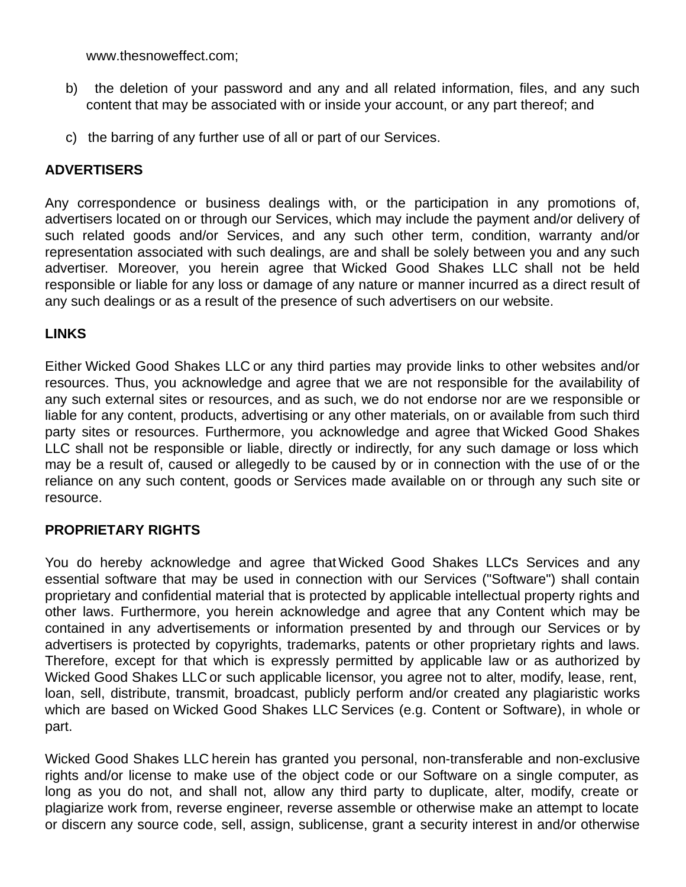www.thesnoweffect.com;

- b) the deletion of your password and any and all related information, files, and any such content that may be associated with or inside your account, or any part thereof; and
- c) the barring of any further use of all or part of our Services.

#### **ADVERTISERS**

Any correspondence or business dealings with, or the participation in any promotions of, advertisers located on or through our Services, which may include the payment and/or delivery of such related goods and/or Services, and any such other term, condition, warranty and/or representation associated with such dealings, are and shall be solely between you and any such advertiser. Moreover, you herein agree that Wicked Good Shakes LLC shall not be held responsible or liable for any loss or damage of any nature or manner incurred as a direct result of any such dealings or as a result of the presence of such advertisers on our website.

#### **LINKS**

Either Wicked Good Shakes LLC or any third parties may provide links to other websites and/or resources. Thus, you acknowledge and agree that we are not responsible for the availability of any such external sites or resources, and as such, we do not endorse nor are we responsible or liable for any content, products, advertising or any other materials, on or available from such third party sites or resources. Furthermore, you acknowledge and agree that Wicked Good Shakes LLC shall not be responsible or liable, directly or indirectly, for any such damage or loss which may be a result of, caused or allegedly to be caused by or in connection with the use of or the reliance on any such content, goods or Services made available on or through any such site or resource.

#### **PROPRIETARY RIGHTS**

You do hereby acknowledge and agree that Wicked Good Shakes LLC's Services and any essential software that may be used in connection with our Services ("Software") shall contain proprietary and confidential material that is protected by applicable intellectual property rights and other laws. Furthermore, you herein acknowledge and agree that any Content which may be contained in any advertisements or information presented by and through our Services or by advertisers is protected by copyrights, trademarks, patents or other proprietary rights and laws. Therefore, except for that which is expressly permitted by applicable law or as authorized by Wicked Good Shakes LLC or such applicable licensor, you agree not to alter, modify, lease, rent, loan, sell, distribute, transmit, broadcast, publicly perform and/or created any plagiaristic works which are based on Wicked Good Shakes LLC Services (e.g. Content or Software), in whole or part.

Wicked Good Shakes LLC herein has granted you personal, non-transferable and non-exclusive rights and/or license to make use of the object code or our Software on a single computer, as long as you do not, and shall not, allow any third party to duplicate, alter, modify, create or plagiarize work from, reverse engineer, reverse assemble or otherwise make an attempt to locate or discern any source code, sell, assign, sublicense, grant a security interest in and/or otherwise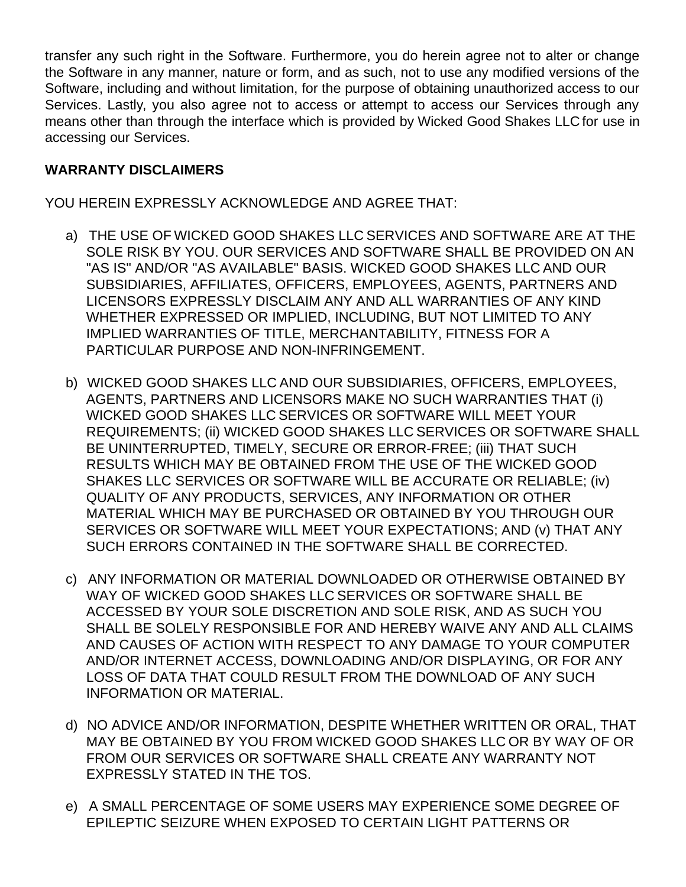transfer any such right in the Software. Furthermore, you do herein agree not to alter or change the Software in any manner, nature or form, and as such, not to use any modified versions of the Software, including and without limitation, for the purpose of obtaining unauthorized access to our Services. Lastly, you also agree not to access or attempt to access our Services through any means other than through the interface which is provided by Wicked Good Shakes LLC for use in accessing our Services.

#### **WARRANTY DISCLAIMERS**

YOU HEREIN EXPRESSLY ACKNOWLEDGE AND AGREE THAT:

- a) THE USE OF WICKED GOOD SHAKES LLC SERVICES AND SOFTWARE ARE AT THE SOLE RISK BY YOU. OUR SERVICES AND SOFTWARE SHALL BE PROVIDED ON AN "AS IS" AND/OR "AS AVAILABLE" BASIS. WICKED GOOD SHAKES LLC AND OUR SUBSIDIARIES, AFFILIATES, OFFICERS, EMPLOYEES, AGENTS, PARTNERS AND LICENSORS EXPRESSLY DISCLAIM ANY AND ALL WARRANTIES OF ANY KIND WHETHER EXPRESSED OR IMPLIED, INCLUDING, BUT NOT LIMITED TO ANY IMPLIED WARRANTIES OF TITLE, MERCHANTABILITY, FITNESS FOR A PARTICULAR PURPOSE AND NON-INFRINGEMENT.
- b) WICKED GOOD SHAKES LLC AND OUR SUBSIDIARIES, OFFICERS, EMPLOYEES, AGENTS, PARTNERS AND LICENSORS MAKE NO SUCH WARRANTIES THAT (i) WICKED GOOD SHAKES LLC SERVICES OR SOFTWARE WILL MEET YOUR REQUIREMENTS; (ii) WICKED GOOD SHAKES LLC SERVICES OR SOFTWARE SHALL BE UNINTERRUPTED, TIMELY, SECURE OR ERROR-FREE; (iii) THAT SUCH RESULTS WHICH MAY BE OBTAINED FROM THE USE OF THE WICKED GOOD SHAKES LLC SERVICES OR SOFTWARE WILL BE ACCURATE OR RELIABLE; (iv) QUALITY OF ANY PRODUCTS, SERVICES, ANY INFORMATION OR OTHER MATERIAL WHICH MAY BE PURCHASED OR OBTAINED BY YOU THROUGH OUR SERVICES OR SOFTWARE WILL MEET YOUR EXPECTATIONS; AND (v) THAT ANY SUCH ERRORS CONTAINED IN THE SOFTWARE SHALL BE CORRECTED.
- c) ANY INFORMATION OR MATERIAL DOWNLOADED OR OTHERWISE OBTAINED BY WAY OF WICKED GOOD SHAKES LLC SERVICES OR SOFTWARE SHALL BE ACCESSED BY YOUR SOLE DISCRETION AND SOLE RISK, AND AS SUCH YOU SHALL BE SOLELY RESPONSIBLE FOR AND HEREBY WAIVE ANY AND ALL CLAIMS AND CAUSES OF ACTION WITH RESPECT TO ANY DAMAGE TO YOUR COMPUTER AND/OR INTERNET ACCESS, DOWNLOADING AND/OR DISPLAYING, OR FOR ANY LOSS OF DATA THAT COULD RESULT FROM THE DOWNLOAD OF ANY SUCH INFORMATION OR MATERIAL.
- d) NO ADVICE AND/OR INFORMATION, DESPITE WHETHER WRITTEN OR ORAL, THAT MAY BE OBTAINED BY YOU FROM WICKED GOOD SHAKES LLC OR BY WAY OF OR FROM OUR SERVICES OR SOFTWARE SHALL CREATE ANY WARRANTY NOT EXPRESSLY STATED IN THE TOS.
- e) A SMALL PERCENTAGE OF SOME USERS MAY EXPERIENCE SOME DEGREE OF EPILEPTIC SEIZURE WHEN EXPOSED TO CERTAIN LIGHT PATTERNS OR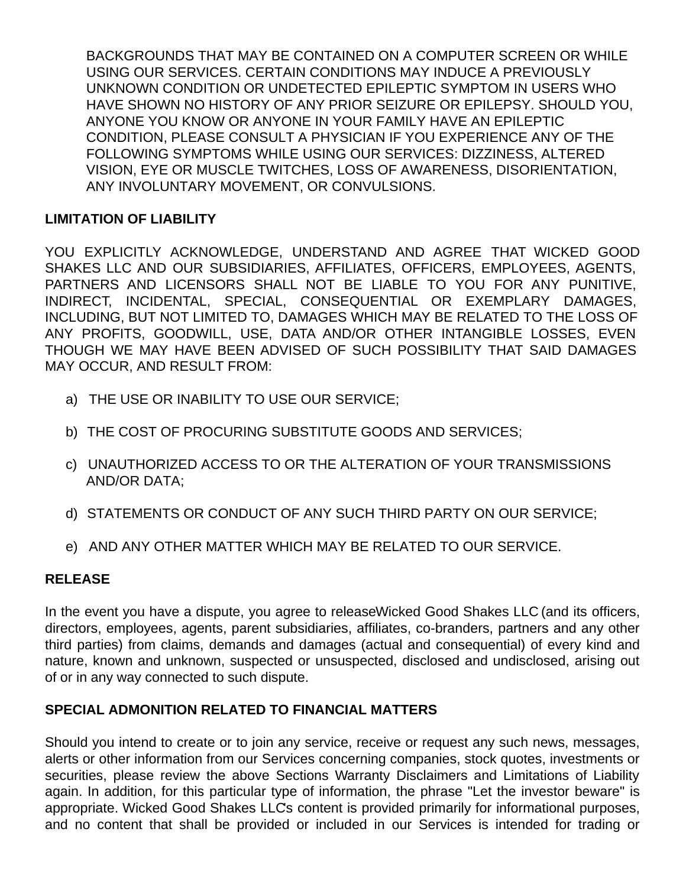BACKGROUNDS THAT MAY BE CONTAINED ON A COMPUTER SCREEN OR WHILE USING OUR SERVICES. CERTAIN CONDITIONS MAY INDUCE A PREVIOUSLY UNKNOWN CONDITION OR UNDETECTED EPILEPTIC SYMPTOM IN USERS WHO HAVE SHOWN NO HISTORY OF ANY PRIOR SEIZURE OR EPILEPSY. SHOULD YOU, ANYONE YOU KNOW OR ANYONE IN YOUR FAMILY HAVE AN EPILEPTIC CONDITION, PLEASE CONSULT A PHYSICIAN IF YOU EXPERIENCE ANY OF THE FOLLOWING SYMPTOMS WHILE USING OUR SERVICES: DIZZINESS, ALTERED VISION, EYE OR MUSCLE TWITCHES, LOSS OF AWARENESS, DISORIENTATION, ANY INVOLUNTARY MOVEMENT, OR CONVULSIONS.

## **LIMITATION OF LIABILITY**

YOU EXPLICITLY ACKNOWLEDGE, UNDERSTAND AND AGREE THAT WICKED GOOD SHAKES LLC AND OUR SUBSIDIARIES, AFFILIATES, OFFICERS, EMPLOYEES, AGENTS, PARTNERS AND LICENSORS SHALL NOT BE LIABLE TO YOU FOR ANY PUNITIVE, INDIRECT, INCIDENTAL, SPECIAL, CONSEQUENTIAL OR EXEMPLARY DAMAGES, INCLUDING, BUT NOT LIMITED TO, DAMAGES WHICH MAY BE RELATED TO THE LOSS OF ANY PROFITS, GOODWILL, USE, DATA AND/OR OTHER INTANGIBLE LOSSES, EVEN THOUGH WE MAY HAVE BEEN ADVISED OF SUCH POSSIBILITY THAT SAID DAMAGES MAY OCCUR, AND RESULT FROM:

- a) THE USE OR INABILITY TO USE OUR SERVICE;
- b) THE COST OF PROCURING SUBSTITUTE GOODS AND SERVICES;
- c) UNAUTHORIZED ACCESS TO OR THE ALTERATION OF YOUR TRANSMISSIONS AND/OR DATA;
- d) STATEMENTS OR CONDUCT OF ANY SUCH THIRD PARTY ON OUR SERVICE;
- e) AND ANY OTHER MATTER WHICH MAY BE RELATED TO OUR SERVICE.

## **RELEASE**

In the event you have a dispute, you agree to releaseWicked Good Shakes LLC (and its officers, directors, employees, agents, parent subsidiaries, affiliates, co-branders, partners and any other third parties) from claims, demands and damages (actual and consequential) of every kind and nature, known and unknown, suspected or unsuspected, disclosed and undisclosed, arising out of or in any way connected to such dispute.

## **SPECIAL ADMONITION RELATED TO FINANCIAL MATTERS**

Should you intend to create or to join any service, receive or request any such news, messages, alerts or other information from our Services concerning companies, stock quotes, investments or securities, please review the above Sections Warranty Disclaimers and Limitations of Liability again. In addition, for this particular type of information, the phrase "Let the investor beware" is appropriate. Wicked Good Shakes LLC's content is provided primarily for informational purposes, and no content that shall be provided or included in our Services is intended for trading or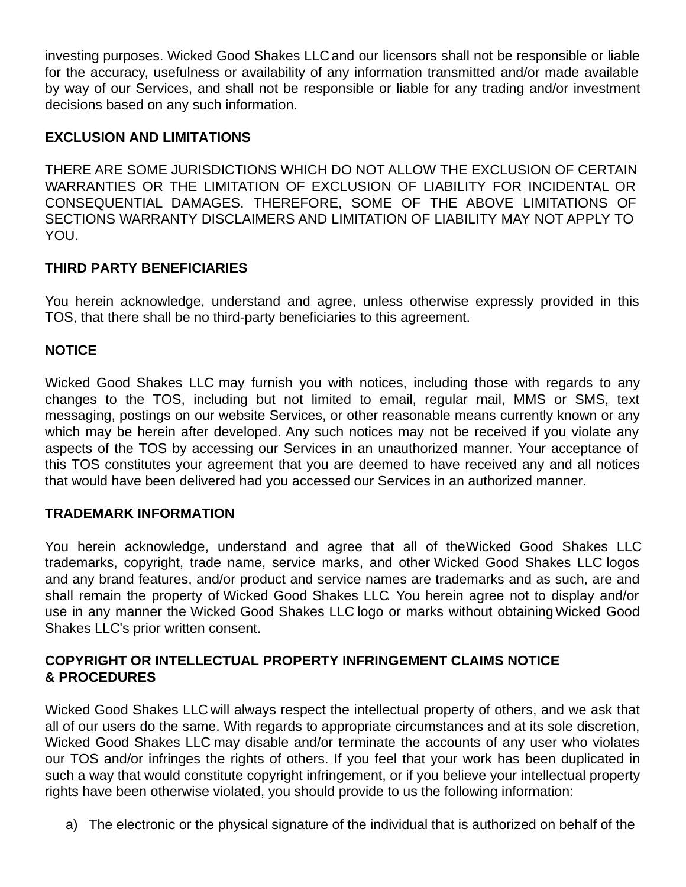investing purposes. Wicked Good Shakes LLC and our licensors shall not be responsible or liable for the accuracy, usefulness or availability of any information transmitted and/or made available by way of our Services, and shall not be responsible or liable for any trading and/or investment decisions based on any such information.

## **EXCLUSION AND LIMITATIONS**

THERE ARE SOME JURISDICTIONS WHICH DO NOT ALLOW THE EXCLUSION OF CERTAIN WARRANTIES OR THE LIMITATION OF EXCLUSION OF LIABILITY FOR INCIDENTAL OR CONSEQUENTIAL DAMAGES. THEREFORE, SOME OF THE ABOVE LIMITATIONS OF SECTIONS WARRANTY DISCLAIMERS AND LIMITATION OF LIABILITY MAY NOT APPLY TO YOU.

# **THIRD PARTY BENEFICIARIES**

You herein acknowledge, understand and agree, unless otherwise expressly provided in this TOS, that there shall be no third-party beneficiaries to this agreement.

## **NOTICE**

Wicked Good Shakes LLC may furnish you with notices, including those with regards to any changes to the TOS, including but not limited to email, regular mail, MMS or SMS, text messaging, postings on our website Services, or other reasonable means currently known or any which may be herein after developed. Any such notices may not be received if you violate any aspects of the TOS by accessing our Services in an unauthorized manner. Your acceptance of this TOS constitutes your agreement that you are deemed to have received any and all notices that would have been delivered had you accessed our Services in an authorized manner.

## **TRADEMARK INFORMATION**

You herein acknowledge, understand and agree that all of theWicked Good Shakes LLC trademarks, copyright, trade name, service marks, and other Wicked Good Shakes LLC logos and any brand features, and/or product and service names are trademarks and as such, are and shall remain the property of Wicked Good Shakes LLC. You herein agree not to display and/or use in any manner the Wicked Good Shakes LLC logo or marks without obtainingWicked Good Shakes LLC's prior written consent.

## **COPYRIGHT OR INTELLECTUAL PROPERTY INFRINGEMENT CLAIMS NOTICE & PROCEDURES**

Wicked Good Shakes LLC will always respect the intellectual property of others, and we ask that all of our users do the same. With regards to appropriate circumstances and at its sole discretion, Wicked Good Shakes LLC may disable and/or terminate the accounts of any user who violates our TOS and/or infringes the rights of others. If you feel that your work has been duplicated in such a way that would constitute copyright infringement, or if you believe your intellectual property rights have been otherwise violated, you should provide to us the following information:

a) The electronic or the physical signature of the individual that is authorized on behalf of the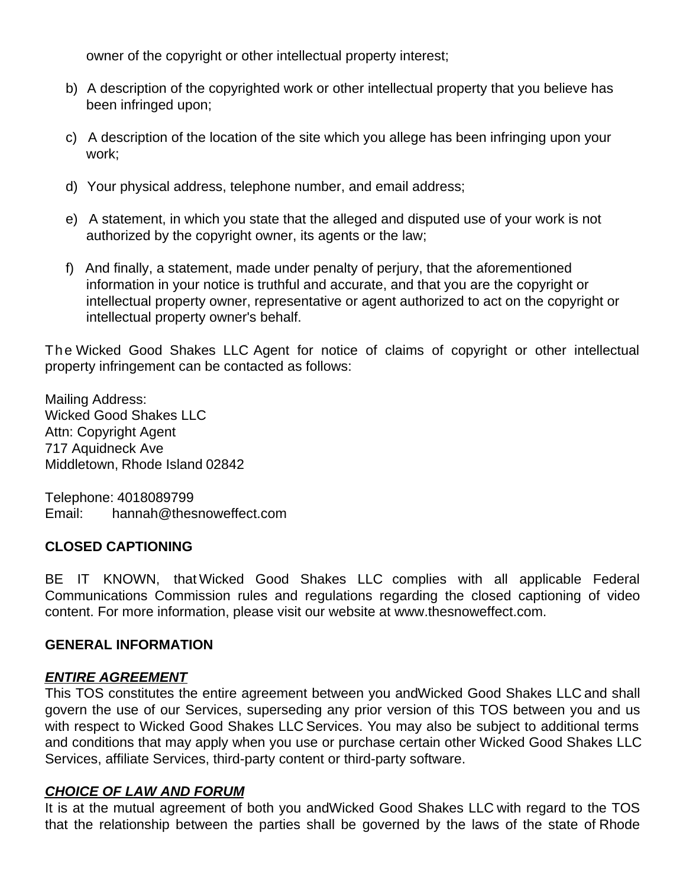owner of the copyright or other intellectual property interest;

- b) A description of the copyrighted work or other intellectual property that you believe has been infringed upon;
- c) A description of the location of the site which you allege has been infringing upon your work;
- d) Your physical address, telephone number, and email address;
- e) A statement, in which you state that the alleged and disputed use of your work is not authorized by the copyright owner, its agents or the law;
- f) And finally, a statement, made under penalty of perjury, that the aforementioned information in your notice is truthful and accurate, and that you are the copyright or intellectual property owner, representative or agent authorized to act on the copyright or intellectual property owner's behalf.

The Wicked Good Shakes LLC Agent for notice of claims of copyright or other intellectual property infringement can be contacted as follows:

Mailing Address: Wicked Good Shakes LLC Attn: Copyright Agent 717 Aquidneck Ave Middletown, Rhode Island 02842

Telephone: 4018089799 Email: hannah@thesnoweffect.com

## **CLOSED CAPTIONING**

BE IT KNOWN, that Wicked Good Shakes LLC complies with all applicable Federal Communications Commission rules and regulations regarding the closed captioning of video content. For more information, please visit our website at www.thesnoweffect.com.

#### **GENERAL INFORMATION**

## *ENTIRE AGREEMENT*

This TOS constitutes the entire agreement between you andWicked Good Shakes LLC and shall govern the use of our Services, superseding any prior version of this TOS between you and us with respect to Wicked Good Shakes LLC Services. You may also be subject to additional terms and conditions that may apply when you use or purchase certain other Wicked Good Shakes LLC Services, affiliate Services, third-party content or third-party software.

## *CHOICE OF LAW AND FORUM*

It is at the mutual agreement of both you andWicked Good Shakes LLC with regard to the TOS that the relationship between the parties shall be governed by the laws of the state of Rhode